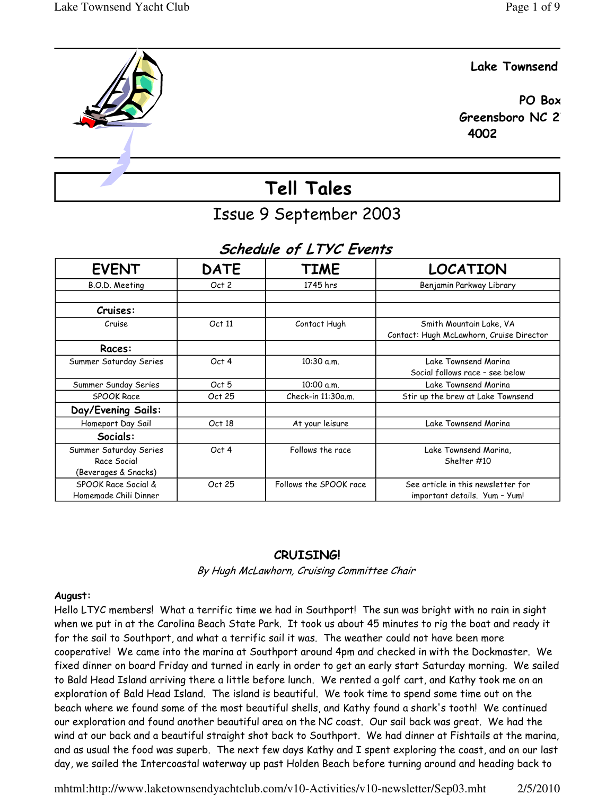Lake Townsend

 PO Box Greensboro NC 2 4002

# Tell Tales

# Issue 9 September 2003

| <b>Schedule of LTYC Events</b> |  |  |
|--------------------------------|--|--|
|                                |  |  |

| <b>EVENT</b>           | <b>DATE</b> | <b>TIME</b>            | <b>LOCATION</b>                                                     |
|------------------------|-------------|------------------------|---------------------------------------------------------------------|
| B.O.D. Meeting         | Oct 2       | 1745 hrs               | Benjamin Parkway Library                                            |
|                        |             |                        |                                                                     |
| Cruises:               |             |                        |                                                                     |
| Cruise                 | $Oct$ 11    | Contact Hugh           | Smith Mountain Lake, VA<br>Contact: Hugh McLawhorn, Cruise Director |
| Races:                 |             |                        |                                                                     |
| Summer Saturday Series | Oct 4       | 10:30 a.m.             | Lake Townsend Marina                                                |
|                        |             |                        | Social follows race - see below                                     |
| Summer Sunday Series   | Oct 5       | $10:00$ a.m.           | Lake Townsend Marina                                                |
| <b>SPOOK Race</b>      | Oct 25      | Check-in 11:30a.m.     | Stir up the brew at Lake Townsend                                   |
| Day/Evening Sails:     |             |                        |                                                                     |
| Homeport Day Sail      | Oct 18      | At your leisure        | Lake Townsend Marina                                                |
| Socials:               |             |                        |                                                                     |
| Summer Saturday Series | Oct 4       | Follows the race       | Lake Townsend Marina,                                               |
| Race Social            |             |                        | Shelter #10                                                         |
| (Beverages & Snacks)   |             |                        |                                                                     |
| SPOOK Race Social &    | Oct 25      | Follows the SPOOK race | See article in this newsletter for                                  |
| Homemade Chili Dinner  |             |                        | important details. Yum - Yum!                                       |

### CRUISING!

By Hugh McLawhorn, Cruising Committee Chair

### August:

Hello LTYC members! What a terrific time we had in Southport! The sun was bright with no rain in sight when we put in at the Carolina Beach State Park. It took us about 45 minutes to rig the boat and ready it for the sail to Southport, and what a terrific sail it was. The weather could not have been more cooperative! We came into the marina at Southport around 4pm and checked in with the Dockmaster. We fixed dinner on board Friday and turned in early in order to get an early start Saturday morning. We sailed to Bald Head Island arriving there a little before lunch. We rented a golf cart, and Kathy took me on an exploration of Bald Head Island. The island is beautiful. We took time to spend some time out on the beach where we found some of the most beautiful shells, and Kathy found a shark's tooth! We continued our exploration and found another beautiful area on the NC coast. Our sail back was great. We had the wind at our back and a beautiful straight shot back to Southport. We had dinner at Fishtails at the marina, and as usual the food was superb. The next few days Kathy and I spent exploring the coast, and on our last day, we sailed the Intercoastal waterway up past Holden Beach before turning around and heading back to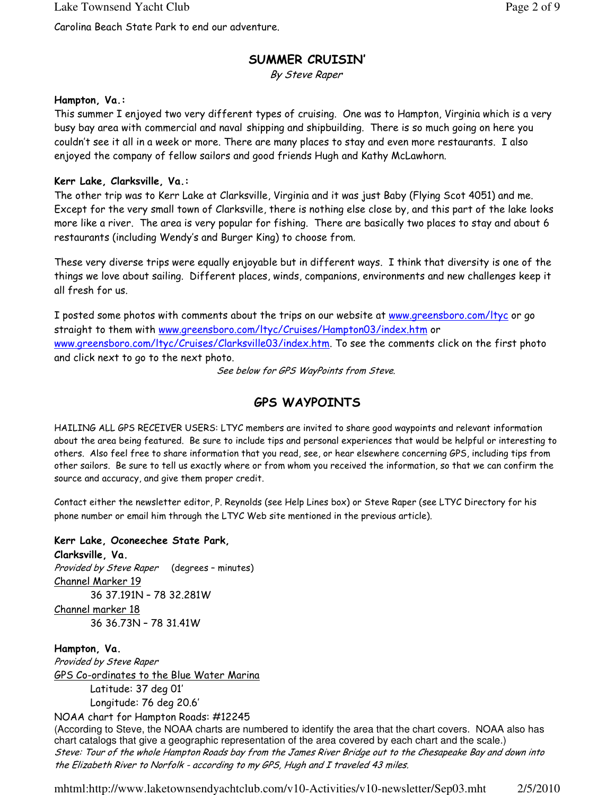### SUMMER CRUISIN'

By Steve Raper

### Hampton, Va.:

This summer I enjoyed two very different types of cruising. One was to Hampton, Virginia which is a very busy bay area with commercial and naval shipping and shipbuilding. There is so much going on here you couldn't see it all in a week or more. There are many places to stay and even more restaurants. I also enjoyed the company of fellow sailors and good friends Hugh and Kathy McLawhorn.

### Kerr Lake, Clarksville, Va.:

The other trip was to Kerr Lake at Clarksville, Virginia and it was just Baby (Flying Scot 4051) and me. Except for the very small town of Clarksville, there is nothing else close by, and this part of the lake looks more like a river. The area is very popular for fishing. There are basically two places to stay and about 6 restaurants (including Wendy's and Burger King) to choose from.

These very diverse trips were equally enjoyable but in different ways. I think that diversity is one of the things we love about sailing. Different places, winds, companions, environments and new challenges keep it all fresh for us.

I posted some photos with comments about the trips on our website at www.greensboro.com/ltyc or go straight to them with www.greensboro.com/ltyc/Cruises/Hampton03/index.htm or www.greensboro.com/ltyc/Cruises/Clarksville03/index.htm. To see the comments click on the first photo and click next to go to the next photo.

See below for GPS WayPoints from Steve.

### GPS WAYPOINTS

HAILING ALL GPS RECEIVER USERS: LTYC members are invited to share good waypoints and relevant information about the area being featured. Be sure to include tips and personal experiences that would be helpful or interesting to others. Also feel free to share information that you read, see, or hear elsewhere concerning GPS, including tips from other sailors. Be sure to tell us exactly where or from whom you received the information, so that we can confirm the source and accuracy, and give them proper credit.

Contact either the newsletter editor, P. Reynolds (see Help Lines box) or Steve Raper (see LTYC Directory for his phone number or email him through the LTYC Web site mentioned in the previous article).

### Kerr Lake, Oconeechee State Park,

Clarksville, Va. Provided by Steve Raper (degrees - minutes) Channel Marker 19 36 37.191N – 78 32.281W Channel marker 18 36 36.73N – 78 31.41W

### Hampton, Va.

Provided by Steve Raper GPS Co-ordinates to the Blue Water Marina Latitude: 37 deg 01' Longitude: 76 deg 20.6'

NOAA chart for Hampton Roads: #12245

(According to Steve, the NOAA charts are numbered to identify the area that the chart covers. NOAA also has chart catalogs that give a geographic representation of the area covered by each chart and the scale.) Steve: Tour of the whole Hampton Roads bay from the James River Bridge out to the Chesapeake Bay and down into the Elizabeth River to Norfolk - according to my GPS, Hugh and I traveled 43 miles.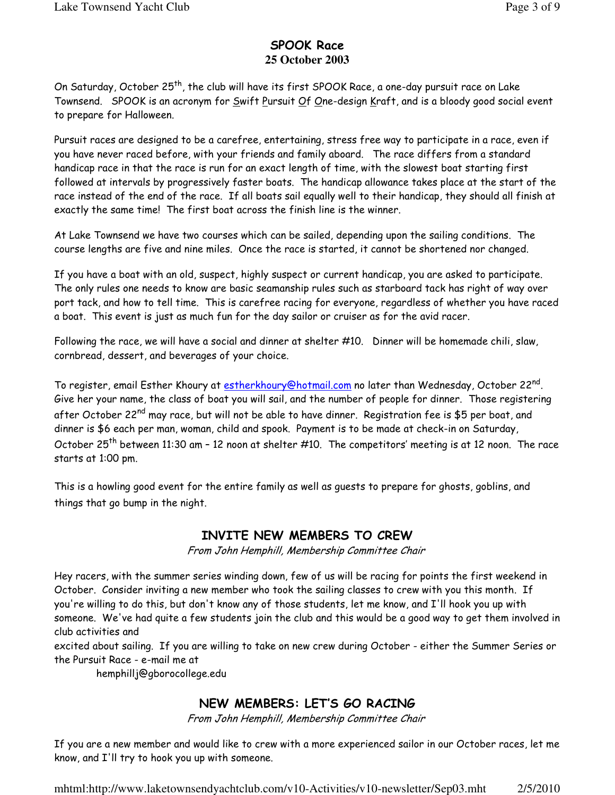### SPOOK Race **25 October 2003**

On Saturday, October 25<sup>th</sup>, the club will have its first SPOOK Race, a one-day pursuit race on Lake Townsend. SPOOK is an acronym for Swift Pursuit Of One-design Kraft, and is a bloody good social event to prepare for Halloween.

Pursuit races are designed to be a carefree, entertaining, stress free way to participate in a race, even if you have never raced before, with your friends and family aboard. The race differs from a standard handicap race in that the race is run for an exact length of time, with the slowest boat starting first followed at intervals by progressively faster boats. The handicap allowance takes place at the start of the race instead of the end of the race. If all boats sail equally well to their handicap, they should all finish at exactly the same time! The first boat across the finish line is the winner.

At Lake Townsend we have two courses which can be sailed, depending upon the sailing conditions. The course lengths are five and nine miles. Once the race is started, it cannot be shortened nor changed.

If you have a boat with an old, suspect, highly suspect or current handicap, you are asked to participate. The only rules one needs to know are basic seamanship rules such as starboard tack has right of way over port tack, and how to tell time. This is carefree racing for everyone, regardless of whether you have raced a boat. This event is just as much fun for the day sailor or cruiser as for the avid racer.

Following the race, we will have a social and dinner at shelter #10. Dinner will be homemade chili, slaw, cornbread, dessert, and beverages of your choice.

To register, email Esther Khoury at <u>estherkhoury@hotmail.com</u> no later than Wednesday, October 22<sup>nd</sup>. Give her your name, the class of boat you will sail, and the number of people for dinner. Those registering after October 22<sup>nd</sup> may race, but will not be able to have dinner. Registration fee is \$5 per boat, and dinner is \$6 each per man, woman, child and spook. Payment is to be made at check-in on Saturday, October 25<sup>th</sup> between 11:30 am - 12 noon at shelter #10. The competitors' meeting is at 12 noon. The race starts at 1:00 pm.

This is a howling good event for the entire family as well as guests to prepare for ghosts, goblins, and things that go bump in the night.

### INVITE NEW MEMBERS TO CREW

From John Hemphill, Membership Committee Chair

Hey racers, with the summer series winding down, few of us will be racing for points the first weekend in October. Consider inviting a new member who took the sailing classes to crew with you this month. If you're willing to do this, but don't know any of those students, let me know, and I'll hook you up with someone. We've had quite a few students join the club and this would be a good way to get them involved in club activities and

excited about sailing. If you are willing to take on new crew during October - either the Summer Series or the Pursuit Race - e-mail me at

hemphillj@gborocollege.edu

### NEW MEMBERS: LET'S GO RACING

From John Hemphill, Membership Committee Chair

If you are a new member and would like to crew with a more experienced sailor in our October races, let me know, and I'll try to hook you up with someone.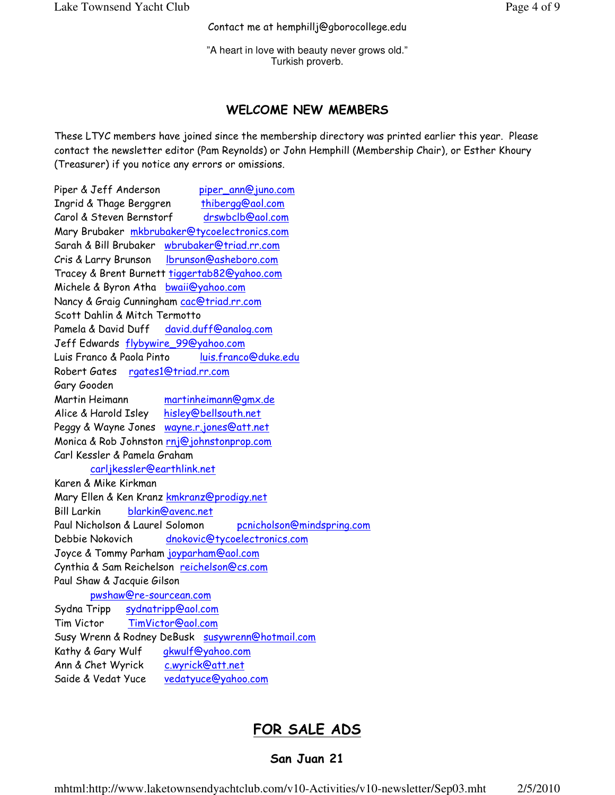### Contact me at hemphillj@gborocollege.edu

"A heart in love with beauty never grows old." Turkish proverb.

### WELCOME NEW MEMBERS

These LTYC members have joined since the membership directory was printed earlier this year. Please contact the newsletter editor (Pam Reynolds) or John Hemphill (Membership Chair), or Esther Khoury (Treasurer) if you notice any errors or omissions.

Piper & Jeff Anderson piper\_ann@juno.com Ingrid & Thage Berggren thibergg@aol.com Carol & Steven Bernstorf drswbclb@aol.com Mary Brubaker mkbrubaker@tycoelectronics.com Sarah & Bill Brubaker wbrubaker@triad.rr.com Cris & Larry Brunson lbrunson@asheboro.com Tracey & Brent Burnett tiggertab82@yahoo.com Michele & Byron Atha bwaii@yahoo.com Nancy & Graig Cunningham cac@triad.rr.com Scott Dahlin & Mitch Termotto Pamela & David Duff david.duff@analog.com Jeff Edwards flybywire\_99@yahoo.com Luis Franco & Paola Pinto luis.franco@duke.edu Robert Gates rgates1@triad.rr.com Gary Gooden Martin Heimann martinheimann@gmx.de Alice & Harold Isley hisley@bellsouth.net Peggy & Wayne Jones wayne.r.jones@att.net Monica & Rob Johnston rnj@johnstonprop.com Carl Kessler & Pamela Graham carljkessler@earthlink.net Karen & Mike Kirkman Mary Ellen & Ken Kranz kmkranz@prodigy.net Bill Larkin blarkin@avenc.net Paul Nicholson & Laurel Solomon penicholson@mindspring.com Debbie Nokovich dnokovic@tycoelectronics.com Joyce & Tommy Parham joyparham@aol.com Cynthia & Sam Reichelson reichelson@cs.com Paul Shaw & Jacquie Gilson pwshaw@re-sourcean.com Sydna Tripp sydnatripp@aol.com Tim Victor TimVictor@aol.com Susy Wrenn & Rodney DeBusk susywrenn@hotmail.com Kathy & Gary Wulf gkwulf@yahoo.com Ann & Chet Wyrick c.wyrick@att.net Saide & Vedat Yuce vedatyuce@yahoo.com

### FOR SALE ADS

### San Juan 21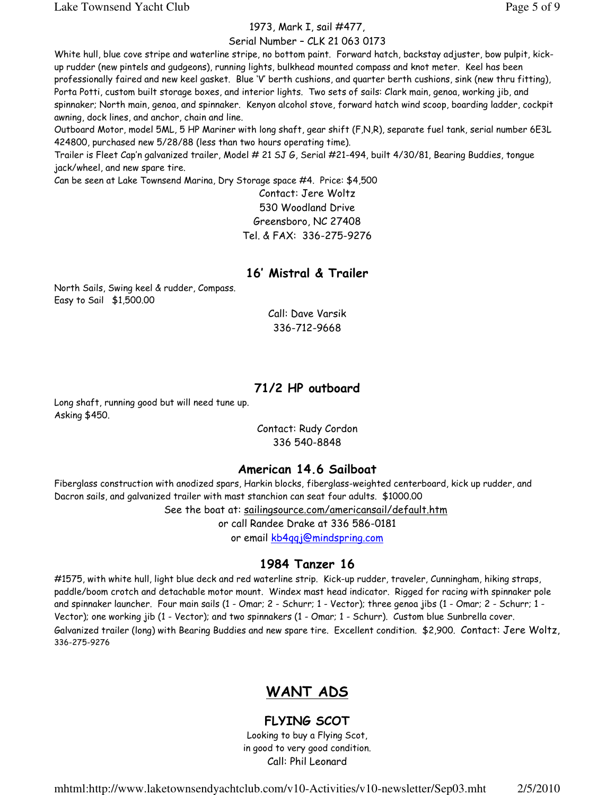Lake Townsend Yacht Club **Page 5 of 9** and  $P$  and  $P$  and  $P$  and  $P$  and  $P$  and  $P$  and  $P$  and  $P$  and  $P$  and  $P$  and  $P$  and  $P$  and  $P$  and  $P$  and  $P$  and  $P$  and  $P$  and  $P$  and  $P$  and  $P$  and  $P$  and  $P$  and  $P$ 

### 1973, Mark I, sail #477,

Serial Number – CLK 21 063 0173

White hull, blue cove stripe and waterline stripe, no bottom paint. Forward hatch, backstay adjuster, bow pulpit, kickup rudder (new pintels and gudgeons), running lights, bulkhead mounted compass and knot meter. Keel has been professionally faired and new keel gasket. Blue 'V' berth cushions, and quarter berth cushions, sink (new thru fitting), Porta Potti, custom built storage boxes, and interior lights. Two sets of sails: Clark main, genoa, working jib, and spinnaker; North main, genoa, and spinnaker. Kenyon alcohol stove, forward hatch wind scoop, boarding ladder, cockpit awning, dock lines, and anchor, chain and line.

Outboard Motor, model 5ML, 5 HP Mariner with long shaft, gear shift (F,N,R), separate fuel tank, serial number 6E3L 424800, purchased new 5/28/88 (less than two hours operating time).

Trailer is Fleet Cap'n galvanized trailer, Model # 21 SJ G, Serial #21-494, built 4/30/81, Bearing Buddies, tongue jack/wheel, and new spare tire.

Can be seen at Lake Townsend Marina, Dry Storage space #4. Price: \$4,500

Contact: Jere Woltz 530 Woodland Drive Greensboro, NC 27408 Tel. & FAX: 336-275-9276

### 16' Mistral & Trailer

North Sails, Swing keel & rudder, Compass. Easy to Sail \$1,500.00

> Call: Dave Varsik 336-712-9668

### 71/2 HP outboard

Long shaft, running good but will need tune up. Asking \$450.

#### Contact: Rudy Cordon 336 540-8848

### American 14.6 Sailboat

Fiberglass construction with anodized spars, Harkin blocks, fiberglass-weighted centerboard, kick up rudder, and Dacron sails, and galvanized trailer with mast stanchion can seat four adults. \$1000.00 See the boat at: sailingsource.com/americansail/default.htm

or call Randee Drake at 336 586-0181

or email kb4qqj@mindspring.com

### 1984 Tanzer 16

#1575, with white hull, light blue deck and red waterline strip. Kick-up rudder, traveler, Cunningham, hiking straps, paddle/boom crotch and detachable motor mount. Windex mast head indicator. Rigged for racing with spinnaker pole and spinnaker launcher. Four main sails (1 - Omar; 2 - Schurr; 1 - Vector); three genoa jibs (1 - Omar; 2 - Schurr; 1 - Vector); one working jib (1 - Vector); and two spinnakers (1 - Omar; 1 - Schurr). Custom blue Sunbrella cover. Galvanized trailer (long) with Bearing Buddies and new spare tire. Excellent condition. \$2,900. Contact: Jere Woltz, 336-275-9276

### WANT ADS

### FLYING SCOT

Looking to buy a Flying Scot, in good to very good condition. Call: Phil Leonard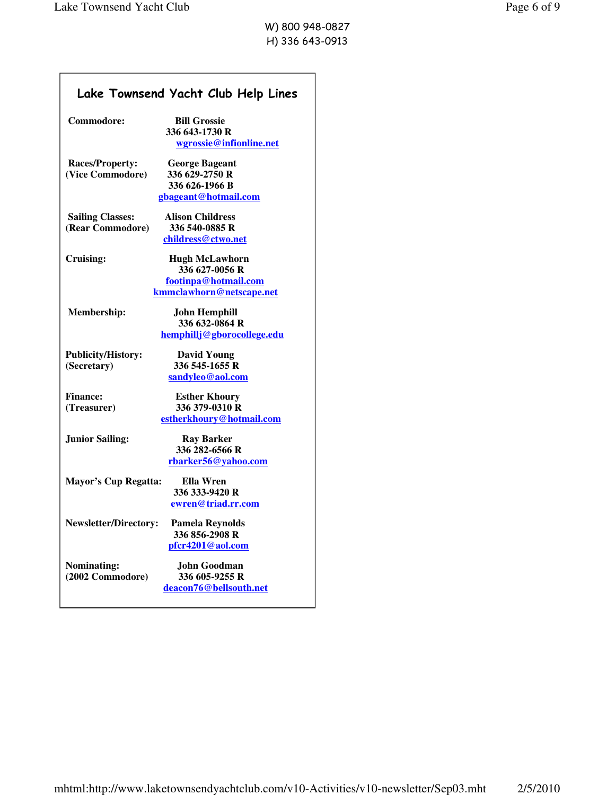|                                 | Lake Townsend Yacht Club Help Lines   |
|---------------------------------|---------------------------------------|
| Commodore:                      | <b>Bill Grossie</b><br>336 643-1730 R |
|                                 | wgrossie@infionline.net               |
| <b>Races/Property:</b>          | <b>George Bageant</b>                 |
| (Vice Commodore)                | 336 629-2750 R                        |
|                                 | 336 626-1966 B                        |
|                                 | gbageant@hotmail.com                  |
| <b>Sailing Classes:</b>         | <b>Alison Childress</b>               |
| (Rear Commodore)                | 336 540-0885 R                        |
|                                 | childress@ctwo.net                    |
| Cruising:                       | <b>Hugh McLawhorn</b>                 |
|                                 | 336 627-0056 R                        |
|                                 | footinpa@hotmail.com                  |
|                                 | kmmclawhorn@netscape.net              |
| Membership:                     | <b>John Hemphill</b>                  |
|                                 | 336 632-0864 R                        |
|                                 | hemphillj@gborocollege.edu            |
| <b>Publicity/History:</b>       | David Young                           |
| (Secretary)                     | 336 545-1655 R                        |
|                                 | sandyleo@aol.com                      |
| <b>Finance:</b>                 | <b>Esther Khoury</b>                  |
| (Treasurer)                     | 336 379-0310 R                        |
|                                 | estherkhoury@hotmail.com              |
| <b>Junior Sailing:</b>          | <b>Ray Barker</b>                     |
|                                 | 336 282-6566 R                        |
|                                 | rbarker56@yahoo.com                   |
| <b>Mayor's Cup Regatta:</b>     | <b>Ella Wren</b>                      |
|                                 | 336 333-9420 R                        |
|                                 | ewren@triad.rr.com                    |
| <b>Newsletter/Directory:</b>    | <b>Pamela Reynolds</b>                |
|                                 | 336 856-2908 R                        |
|                                 | pfcr4201@aol.com                      |
|                                 |                                       |
| Nominating:<br>(2002 Commodore) | <b>John Goodman</b><br>336 605-9255 R |
|                                 | deacon76@bellsouth.net                |
|                                 |                                       |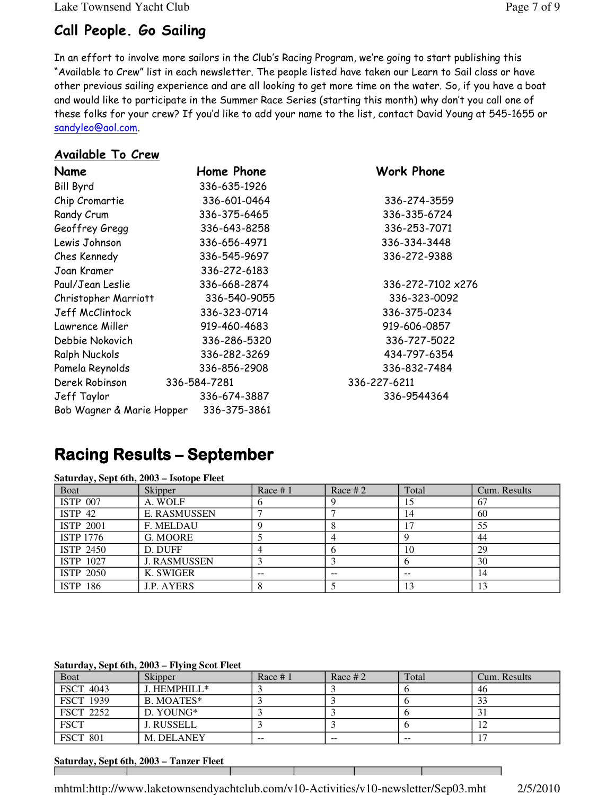Lake Townsend Yacht Club Page 7 of 9

## Call People. Go Sailing

In an effort to involve more sailors in the Club's Racing Program, we're going to start publishing this "Available to Crew" list in each newsletter. The people listed have taken our Learn to Sail class or have other previous sailing experience and are all looking to get more time on the water. So, if you have a boat and would like to participate in the Summer Race Series (starting this month) why don't you call one of these folks for your crew? If you'd like to add your name to the list, contact David Young at 545-1655 or sandyleo@aol.com.

### Available To Crew

| Name                      | Home Phone   | Work Phone        |
|---------------------------|--------------|-------------------|
| <b>Bill Byrd</b>          | 336-635-1926 |                   |
| Chip Cromartie            | 336-601-0464 | 336-274-3559      |
| Randy Crum                | 336-375-6465 | 336-335-6724      |
| Geoffrey Gregg            | 336-643-8258 | 336-253-7071      |
| Lewis Johnson             | 336-656-4971 | 336-334-3448      |
| Ches Kennedy              | 336-545-9697 | 336-272-9388      |
| Joan Kramer               | 336-272-6183 |                   |
| Paul/Jean Leslie          | 336-668-2874 | 336-272-7102 x276 |
| Christopher Marriott      | 336-540-9055 | 336-323-0092      |
| Jeff McClintock           | 336-323-0714 | 336-375-0234      |
| Lawrence Miller           | 919-460-4683 | 919-606-0857      |
| Debbie Nokovich           | 336-286-5320 | 336-727-5022      |
| Ralph Nuckols             | 336-282-3269 | 434-797-6354      |
| Pamela Reynolds           | 336-856-2908 | 336-832-7484      |
| Derek Robinson            | 336-584-7281 | 336-227-6211      |
| Jeff Taylor               | 336-674-3887 | 336-9544364       |
| Bob Wagner & Marie Hopper | 336-375-3861 |                   |

# Racing Results – September

| Saturday, Sept oth, 2005 – isotope Fieet |                     |           |           |       |              |  |
|------------------------------------------|---------------------|-----------|-----------|-------|--------------|--|
| Boat                                     | Skipper             | Race $#1$ | Race $#2$ | Total | Cum. Results |  |
| <b>ISTP 007</b>                          | A. WOLF             | n         |           | 15    | 67           |  |
| ISTP <sub>42</sub>                       | <b>E. RASMUSSEN</b> |           |           | 14    | 60           |  |
| <b>ISTP 2001</b>                         | <b>F. MELDAU</b>    |           |           |       | 55           |  |
| <b>ISTP 1776</b>                         | G. MOORE            |           |           |       | 44           |  |
| ISTP 2450                                | D. DUFF             |           |           | 10    | 29           |  |
| ISTP 1027                                | <b>J. RASMUSSEN</b> |           |           |       | 30           |  |
| <b>ISTP 2050</b>                         | K. SWIGER           | --        | --        |       | 14           |  |
| <b>ISTP 186</b>                          | <b>J.P. AYERS</b>   | 8         |           | 13    | 13           |  |

### **Saturday, Sept 6th, 2003 – Isotope Fleet**

#### **Saturday, Sept 6th, 2003 – Flying Scot Fleet**

| <b>Boat</b>      | Skipper      | Race $# 1$ | Race # 2 | Total | Cum. Results |
|------------------|--------------|------------|----------|-------|--------------|
| <b>FSCT 4043</b> | J. HEMPHILL* |            |          |       | 46           |
| <b>FSCT 1939</b> | B. MOATES*   |            |          |       | 33           |
| <b>FSCT 2252</b> | D. YOUNG*    |            |          |       |              |
| <b>FSCT</b>      | J. RUSSELL   |            |          |       |              |
| <b>FSCT 801</b>  | M. DELANEY   | $- -$      | $- -$    | $- -$ |              |

### **Saturday, Sept 6th, 2003 – Tanzer Fleet**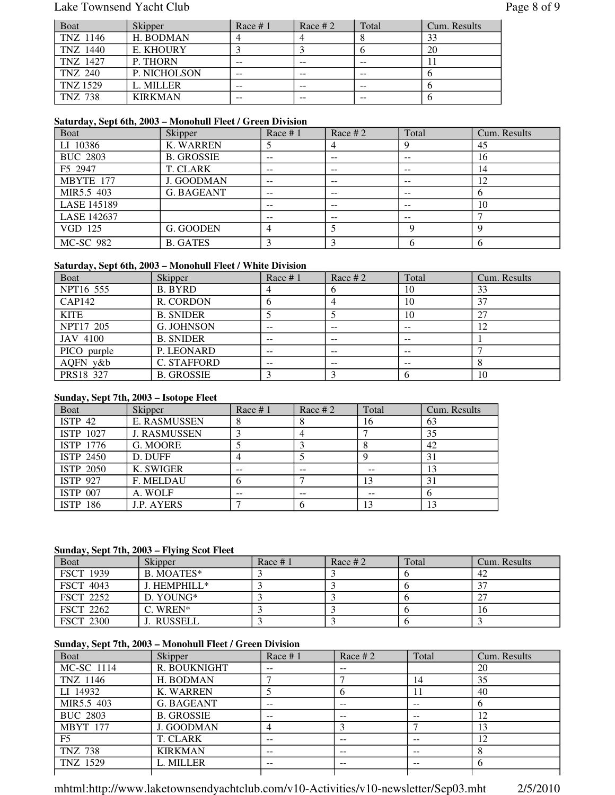#### Lake Townsend Yacht Club

| <b>Boat</b>     | Skipper        | Race $#1$ | Race # 2 | Total | Cum. Results |
|-----------------|----------------|-----------|----------|-------|--------------|
| TNZ 1146        | H. BODMAN      |           |          |       | 33           |
| TNZ 1440        | E. KHOURY      |           |          |       | 20           |
| TNZ 1427        | P. THORN       | --        | $- -$    | $- -$ |              |
| TNZ 240         | P. NICHOLSON   | $- -$     | --       | --    |              |
| <b>TNZ 1529</b> | L. MILLER      | $- -$     | $- -$    | $- -$ |              |
| TNZ 738         | <b>KIRKMAN</b> | --        |          | --    |              |

#### **Saturday, Sept 6th, 2003 – Monohull Fleet / Green Division**

| <b>Boat</b>        | Skipper           | Race $# 1$ | Race $#2$                | Total             | Cum. Results |
|--------------------|-------------------|------------|--------------------------|-------------------|--------------|
| LI 10386           | K. WARREN         |            |                          |                   | 45           |
| <b>BUC 2803</b>    | <b>B. GROSSIE</b> | $- -$      | $- -$                    | $- -$             | 16           |
| F5 2947            | T. CLARK          | $- -$      | $- -$                    | --                | 14           |
| MBYTE 177          | J. GOODMAN        | $- -$      | $- -$                    | --                | 12           |
| MIR5.5 403         | <b>G. BAGEANT</b> | $- -$      | $\overline{\phantom{m}}$ | $\qquad \qquad -$ |              |
| <b>LASE 145189</b> |                   |            | $\overline{\phantom{m}}$ | --                | 10           |
| LASE 142637        |                   | $- -$      | $- -$                    | $\qquad \qquad -$ |              |
| VGD 125            | G. GOODEN         |            |                          | Q                 |              |
| MC-SC 982          | <b>B. GATES</b>   |            |                          |                   |              |

#### **Saturday, Sept 6th, 2003 – Monohull Fleet / White Division**

| Boat            | Skipper            | Race $# 1$ | Race $#2$ | Total | Cum. Results |
|-----------------|--------------------|------------|-----------|-------|--------------|
| NPT16 555       | B. BYRD            |            |           | 10    | 33           |
| CAP142          | R. CORDON          |            |           | 10    | 37           |
| <b>KITE</b>     | <b>B. SNIDER</b>   |            |           | 10    | 27           |
| NPT17 205       | <b>G. JOHNSON</b>  | --         | --        | $- -$ |              |
| <b>JAV 4100</b> | <b>B. SNIDER</b>   | --         | --        | $- -$ |              |
| PICO purple     | P. LEONARD         |            | --        | $- -$ |              |
| AQFN y&b        | <b>C. STAFFORD</b> | --         | --        | $- -$ |              |
| PRS18 327       | <b>B. GROSSIE</b>  |            |           | O     | 10           |

#### **Sunday, Sept 7th, 2003 – Isotope Fleet**

| <b>Boat</b>        | Skipper             | Race $# 1$ | Race $#2$ | Total | Cum. Results |
|--------------------|---------------------|------------|-----------|-------|--------------|
| ISTP <sub>42</sub> | <b>E. RASMUSSEN</b> |            |           | 16    | 63           |
| <b>ISTP 1027</b>   | <b>J. RASMUSSEN</b> |            |           |       | 35           |
| ISTP 1776          | G. MOORE            |            |           |       | 42           |
| <b>ISTP 2450</b>   | D. DUFF             |            |           |       | 31           |
| <b>ISTP 2050</b>   | K. SWIGER           |            |           |       |              |
| <b>ISTP 927</b>    | <b>F. MELDAU</b>    |            |           | 13    | 31           |
| <b>ISTP 007</b>    | A. WOLF             | --         |           |       |              |
| <b>ISTP 186</b>    | <b>J.P. AYERS</b>   |            |           | 13    | 13           |

#### **Sunday, Sept 7th, 2003 – Flying Scot Fleet**

| <b>Boat</b>      | <b>Skipper</b> | Race $#1$ | Race # 2 | Total | Cum. Results |
|------------------|----------------|-----------|----------|-------|--------------|
| <b>FSCT 1939</b> | B. MOATES*     |           |          |       | -42          |
| <b>FSCT 4043</b> | J. HEMPHILL*   |           |          |       |              |
| <b>FSCT 2252</b> | D. YOUNG*      |           |          |       |              |
| FSCT 2262        | $C.$ WREN*     |           |          |       | 16           |
| <b>FSCT 2300</b> | J. RUSSELL     |           |          |       |              |

#### **Sunday, Sept 7th, 2003 – Monohull Fleet / Green Division**

| Boat            | Skipper           | Race $# 1$ | Race $#2$ | Total | Cum. Results |
|-----------------|-------------------|------------|-----------|-------|--------------|
| MC-SC 1114      | R. BOUKNIGHT      | $- -$      | --        |       | 20           |
| TNZ 1146        | H. BODMAN         |            |           | 14    | 35           |
| LI 14932        | <b>K. WARREN</b>  |            | O         | 11    | 40           |
| MIR5.5 403      | <b>G. BAGEANT</b> | --         | --        |       | <sub>0</sub> |
| <b>BUC 2803</b> | <b>B. GROSSIE</b> |            | --        |       | 12           |
| <b>MBYT</b> 177 | J. GOODMAN        | 4          |           |       | 13           |
| F <sub>5</sub>  | T. CLARK          | --         | --        | --    | 12           |
| <b>TNZ 738</b>  | <b>KIRKMAN</b>    | $- -$      | $- -$     | --    |              |
| TNZ 1529        | L. MILLER         | --         | $-$       |       | <sub>0</sub> |
|                 |                   |            |           |       |              |